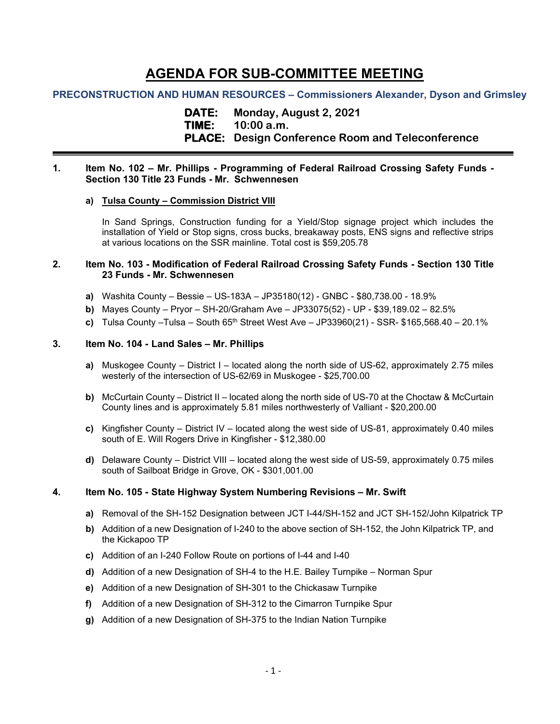# **AGENDA FOR SUB-COMMITTEE MEETING**

## **PRECONSTRUCTION AND HUMAN RESOURCES – Commissioners Alexander, Dyson and Grimsley**

**DATE: Monday, August 2, 2021 TIME: 10:00 a.m. PLACE: Design Conference Room and Teleconference**

## **1. Item No. 102 – Mr. Phillips - Programming of Federal Railroad Crossing Safety Funds - Section 130 Title 23 Funds - Mr. Schwennesen**

## **a) Tulsa County – Commission District VIII**

In Sand Springs, Construction funding for a Yield/Stop signage project which includes the installation of Yield or Stop signs, cross bucks, breakaway posts, ENS signs and reflective strips at various locations on the SSR mainline. Total cost is \$59,205.78

## **2. Item No. 103 - Modification of Federal Railroad Crossing Safety Funds - Section 130 Title 23 Funds - Mr. Schwennesen**

- **a)** Washita County Bessie US-183A JP35180(12) GNBC \$80,738.00 18.9%
- **b)** Mayes County Pryor SH-20/Graham Ave JP33075(52) UP \$39,189.02 82.5%
- **c)** Tulsa County –Tulsa South 65th Street West Ave JP33960(21) SSR- \$165,568.40 20.1%

### **3. Item No. 104 - Land Sales – Mr. Phillips**

- **a)** Muskogee County District I located along the north side of US-62, approximately 2.75 miles westerly of the intersection of US-62/69 in Muskogee - \$25,700.00
- **b)** McCurtain County District II located along the north side of US-70 at the Choctaw & McCurtain County lines and is approximately 5.81 miles northwesterly of Valliant - \$20,200.00
- **c)** Kingfisher County District IV located along the west side of US-81, approximately 0.40 miles south of E. Will Rogers Drive in Kingfisher - \$12,380.00
- **d)** Delaware County District VIII located along the west side of US-59, approximately 0.75 miles south of Sailboat Bridge in Grove, OK - \$301,001.00

#### **4. Item No. 105 - State Highway System Numbering Revisions – Mr. Swift**

- **a)** Removal of the SH-152 Designation between JCT I-44/SH-152 and JCT SH-152/John Kilpatrick TP
- **b)** Addition of a new Designation of I-240 to the above section of SH-152, the John Kilpatrick TP, and the Kickapoo TP
- **c)** Addition of an I-240 Follow Route on portions of I-44 and I-40
- **d)** Addition of a new Designation of SH-4 to the H.E. Bailey Turnpike Norman Spur
- **e)** Addition of a new Designation of SH-301 to the Chickasaw Turnpike
- **f)** Addition of a new Designation of SH-312 to the Cimarron Turnpike Spur
- **g)** Addition of a new Designation of SH-375 to the Indian Nation Turnpike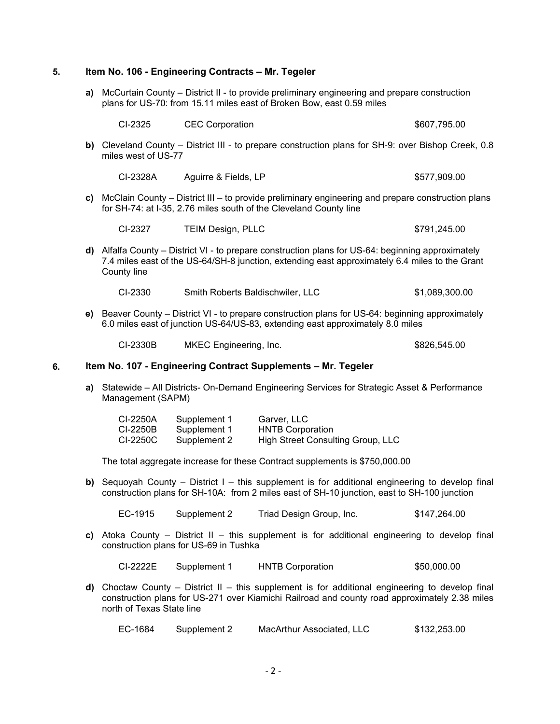#### **5. Item No. 106 - Engineering Contracts – Mr. Tegeler**

**a)** McCurtain County – District II - to provide preliminary engineering and prepare construction plans for US-70: from 15.11 miles east of Broken Bow, east 0.59 miles

| CI-2325<br>\$607,795.00<br><b>CEC Corporation</b> |  |
|---------------------------------------------------|--|
|---------------------------------------------------|--|

**b)** Cleveland County – District III - to prepare construction plans for SH-9: over Bishop Creek, 0.8 miles west of US-77

| CI-2328A<br>Aquirre & Fields, LP | \$577,909.00 |
|----------------------------------|--------------|
|----------------------------------|--------------|

**c)** McClain County – District III – to provide preliminary engineering and prepare construction plans for SH-74: at I-35, 2.76 miles south of the Cleveland County line

| CI-2327 | TEIM Design, PLLC | \$791,245.00 |
|---------|-------------------|--------------|
|         |                   |              |

**d)** Alfalfa County – District VI - to prepare construction plans for US-64: beginning approximately 7.4 miles east of the US-64/SH-8 junction, extending east approximately 6.4 miles to the Grant County line

| CI-2330 | Smith Roberts Baldischwiler, LLC | \$1,089,300.00 |
|---------|----------------------------------|----------------|
|---------|----------------------------------|----------------|

**e)** Beaver County – District VI - to prepare construction plans for US-64: beginning approximately 6.0 miles east of junction US-64/US-83, extending east approximately 8.0 miles

CI-2330B MKEC Engineering, Inc. \$826,545.00

#### **6. Item No. 107 - Engineering Contract Supplements – Mr. Tegeler**

**a)** Statewide – All Districts- On-Demand Engineering Services for Strategic Asset & Performance Management (SAPM)

| CI-2250A | Supplement 1 | Garver, LLC                       |
|----------|--------------|-----------------------------------|
| CI-2250B | Supplement 1 | <b>HNTB Corporation</b>           |
| CI-2250C | Supplement 2 | High Street Consulting Group, LLC |

The total aggregate increase for these Contract supplements is \$750,000.00

**b)** Sequoyah County – District I – this supplement is for additional engineering to develop final construction plans for SH-10A: from 2 miles east of SH-10 junction, east to SH-100 junction

EC-1915 Supplement 2 Triad Design Group, Inc. \$147,264.00

**c)** Atoka County – District II – this supplement is for additional engineering to develop final construction plans for US-69 in Tushka

| CI-2222E | Supplement 1 | <b>HNTB Corporation</b> | \$50,000.00 |
|----------|--------------|-------------------------|-------------|
|          |              |                         |             |

**d)** Choctaw County – District II – this supplement is for additional engineering to develop final construction plans for US-271 over Kiamichi Railroad and county road approximately 2.38 miles north of Texas State line

EC-1684 Supplement 2 MacArthur Associated, LLC \$132,253.00